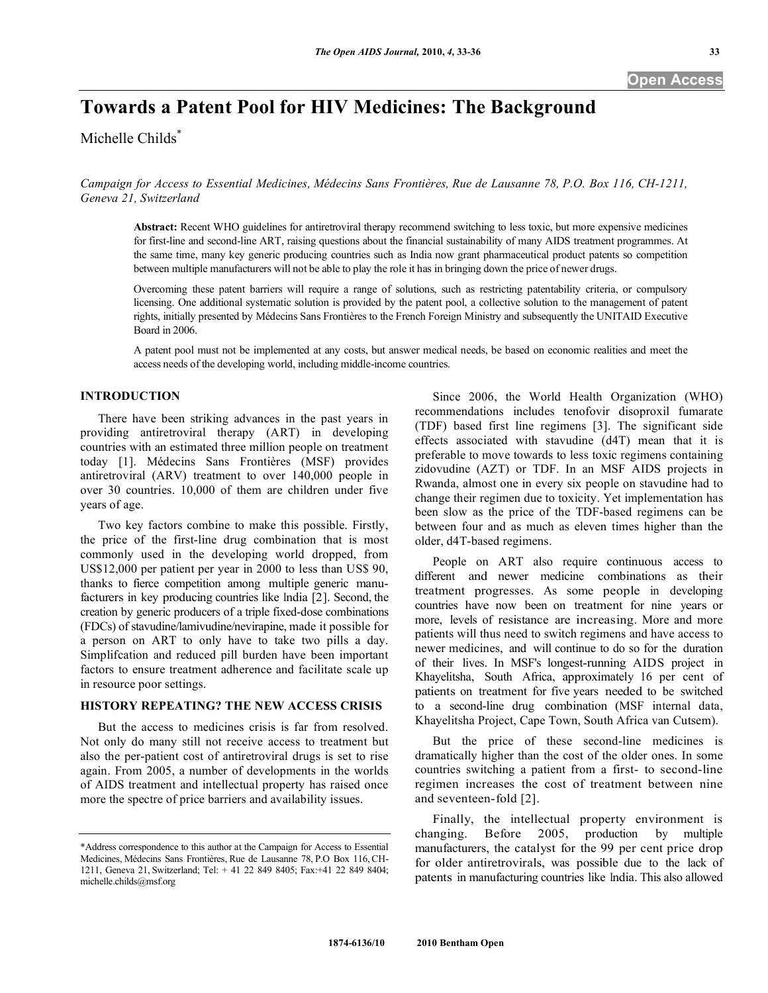# **Towards a Patent Pool for HIV Medicines: The Background**

Michelle Childs<sup>\*</sup>

*Campaign for Access to Essential Medicines, Médecins Sans Frontières, Rue de Lausanne 78, P.O. Box 116, CH-1211, Geneva 21, Switzerland* 

**Abstract:** Recent WHO guidelines for antiretroviral therapy recommend switching to less toxic, but more expensive medicines for first-line and second-line ART, raising questions about the financial sustainability of many AIDS treatment programmes. At the same time, many key generic producing countries such as India now grant pharmaceutical product patents so competition between multiple manufacturers will not be able to play the role it has in bringing down the price of newer drugs.

Overcoming these patent barriers will require a range of solutions, such as restricting patentability criteria, or compulsory licensing. One additional systematic solution is provided by the patent pool, a collective solution to the management of patent rights, initially presented by Médecins Sans Frontières to the French Foreign Ministry and subsequently the UNITAID Executive Board in 2006.

A patent pool must not be implemented at any costs, but answer medical needs, be based on economic realities and meet the access needs of the developing world, including middle-income countries.

## **INTRODUCTION**

 There have been striking advances in the past years in providing antiretroviral therapy (ART) in developing countries with an estimated three million people on treatment today [1]. Médecins Sans Frontières (MSF) provides antiretroviral (ARV) treatment to over 140,000 people in over 30 countries. 10,000 of them are children under five years of age.

 Two key factors combine to make this possible. Firstly, the price of the first-line drug combination that is most commonly used in the developing world dropped, from US\$12,000 per patient per year in 2000 to less than US\$ 90, thanks to fierce competition among multiple generic manufacturers in key producing countries like India [2]. Second, the creation by generic producers of a triple fixed-dose combinations (FDCs) of stavudine/lamivudine/nevirapine, made it possible for a person on ART to only have to take two pills a day. Simplifcation and reduced pill burden have been important factors to ensure treatment adherence and facilitate scale up in resource poor settings.

#### **HISTORY REPEATING? THE NEW ACCESS CRISIS**

 But the access to medicines crisis is far from resolved. Not only do many still not receive access to treatment but also the per-patient cost of antiretroviral drugs is set to rise again. From 2005, a number of developments in the worlds of AIDS treatment and intellectual property has raised once more the spectre of price barriers and availability issues.

 Since 2006, the World Health Organization (WHO) recommendations includes tenofovir disoproxil fumarate (TDF) based first line regimens [3]. The significant side effects associated with stavudine (d4T) mean that it is preferable to move towards to less toxic regimens containing zidovudine (AZT) or TDF. In an MSF AIDS projects in Rwanda, almost one in every six people on stavudine had to change their regimen due to toxicity. Yet implementation has been slow as the price of the TDF-based regimens can be between four and as much as eleven times higher than the older, d4T-based regimens.

 People on ART also require continuous access to different and newer medicine combinations as their treatment progresses. As some people in developing countries have now been on treatment for nine years or more, levels of resistance are increasing. More and more patients will thus need to switch regimens and have access to newer medicines, and will continue to do so for the duration of their lives. In MSF's longest-running AIDS project in Khayelitsha, South Africa, approximately 16 per cent of patients on treatment for five years needed to be switched to a second-line drug combination (MSF internal data, Khayelitsha Project, Cape Town, South Africa van Cutsem).

 But the price of these second-line medicines is dramatically higher than the cost of the older ones. In some countries switching a patient from a first- to second-line regimen increases the cost of treatment between nine and seventeen-fold [2].

 Finally, the intellectual property environment is changing. Before 2005, production by multiple manufacturers, the catalyst for the 99 per cent price drop for older antiretrovirals, was possible due to the lack of patents in manufacturing countries like India. This also allowed

<sup>\*</sup>Address correspondence to this author at the Campaign for Access to Essential Medicines, Médecins Sans Frontières, Rue de Lausanne 78, P.O Box 116, CH-1211, Geneva 21, Switzerland; Tel: + 41 22 849 8405; Fax:+41 22 849 8404; michelle.childs@msf.org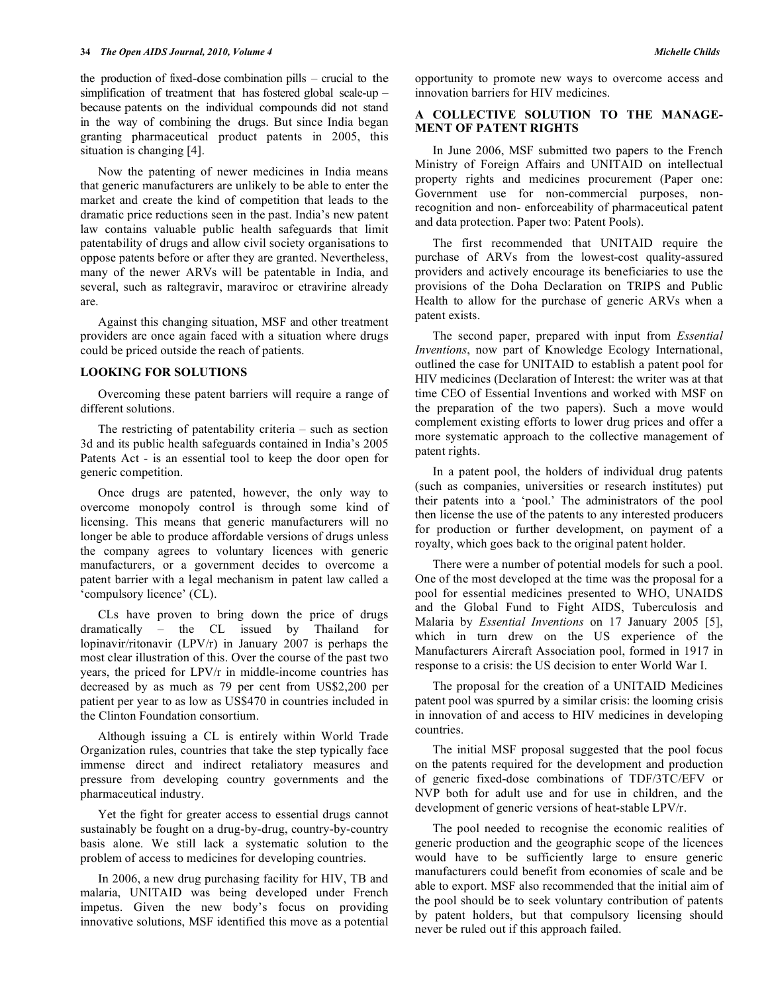the production of fixed-dose combination pills – crucial to the simplification of treatment that has fostered global scale-up – because patents on the individual compounds did not stand in the way of combining the drugs. But since India began granting pharmaceutical product patents in 2005, this situation is changing [4].

 Now the patenting of newer medicines in India means that generic manufacturers are unlikely to be able to enter the market and create the kind of competition that leads to the dramatic price reductions seen in the past. India's new patent law contains valuable public health safeguards that limit patentability of drugs and allow civil society organisations to oppose patents before or after they are granted. Nevertheless, many of the newer ARVs will be patentable in India, and several, such as raltegravir, maraviroc or etravirine already are.

 Against this changing situation, MSF and other treatment providers are once again faced with a situation where drugs could be priced outside the reach of patients.

#### **LOOKING FOR SOLUTIONS**

 Overcoming these patent barriers will require a range of different solutions.

 The restricting of patentability criteria – such as section 3d and its public health safeguards contained in India's 2005 Patents Act - is an essential tool to keep the door open for generic competition.

 Once drugs are patented, however, the only way to overcome monopoly control is through some kind of licensing. This means that generic manufacturers will no longer be able to produce affordable versions of drugs unless the company agrees to voluntary licences with generic manufacturers, or a government decides to overcome a patent barrier with a legal mechanism in patent law called a 'compulsory licence' (CL).

 CLs have proven to bring down the price of drugs dramatically – the CL issued by Thailand for lopinavir/ritonavir (LPV/r) in January 2007 is perhaps the most clear illustration of this. Over the course of the past two years, the priced for LPV/r in middle-income countries has decreased by as much as 79 per cent from US\$2,200 per patient per year to as low as US\$470 in countries included in the Clinton Foundation consortium.

 Although issuing a CL is entirely within World Trade Organization rules, countries that take the step typically face immense direct and indirect retaliatory measures and pressure from developing country governments and the pharmaceutical industry.

 Yet the fight for greater access to essential drugs cannot sustainably be fought on a drug-by-drug, country-by-country basis alone. We still lack a systematic solution to the problem of access to medicines for developing countries.

 In 2006, a new drug purchasing facility for HIV, TB and malaria, UNITAID was being developed under French impetus. Given the new body's focus on providing innovative solutions, MSF identified this move as a potential

opportunity to promote new ways to overcome access and innovation barriers for HIV medicines.

## **A COLLECTIVE SOLUTION TO THE MANAGE-MENT OF PATENT RIGHTS**

 In June 2006, MSF submitted two papers to the French Ministry of Foreign Affairs and UNITAID on intellectual property rights and medicines procurement (Paper one: Government use for non-commercial purposes, nonrecognition and non- enforceability of pharmaceutical patent and data protection. Paper two: Patent Pools).

 The first recommended that UNITAID require the purchase of ARVs from the lowest-cost quality-assured providers and actively encourage its beneficiaries to use the provisions of the Doha Declaration on TRIPS and Public Health to allow for the purchase of generic ARVs when a patent exists.

 The second paper, prepared with input from *Essential Inventions*, now part of Knowledge Ecology International, outlined the case for UNITAID to establish a patent pool for HIV medicines (Declaration of Interest: the writer was at that time CEO of Essential Inventions and worked with MSF on the preparation of the two papers). Such a move would complement existing efforts to lower drug prices and offer a more systematic approach to the collective management of patent rights.

 In a patent pool, the holders of individual drug patents (such as companies, universities or research institutes) put their patents into a 'pool.' The administrators of the pool then license the use of the patents to any interested producers for production or further development, on payment of a royalty, which goes back to the original patent holder.

 There were a number of potential models for such a pool. One of the most developed at the time was the proposal for a pool for essential medicines presented to WHO, UNAIDS and the Global Fund to Fight AIDS, Tuberculosis and Malaria by *Essential Inventions* on 17 January 2005 [5], which in turn drew on the US experience of the Manufacturers Aircraft Association pool, formed in 1917 in response to a crisis: the US decision to enter World War I.

 The proposal for the creation of a UNITAID Medicines patent pool was spurred by a similar crisis: the looming crisis in innovation of and access to HIV medicines in developing countries.

 The initial MSF proposal suggested that the pool focus on the patents required for the development and production of generic fixed-dose combinations of TDF/3TC/EFV or NVP both for adult use and for use in children, and the development of generic versions of heat-stable LPV/r.

 The pool needed to recognise the economic realities of generic production and the geographic scope of the licences would have to be sufficiently large to ensure generic manufacturers could benefit from economies of scale and be able to export. MSF also recommended that the initial aim of the pool should be to seek voluntary contribution of patents by patent holders, but that compulsory licensing should never be ruled out if this approach failed.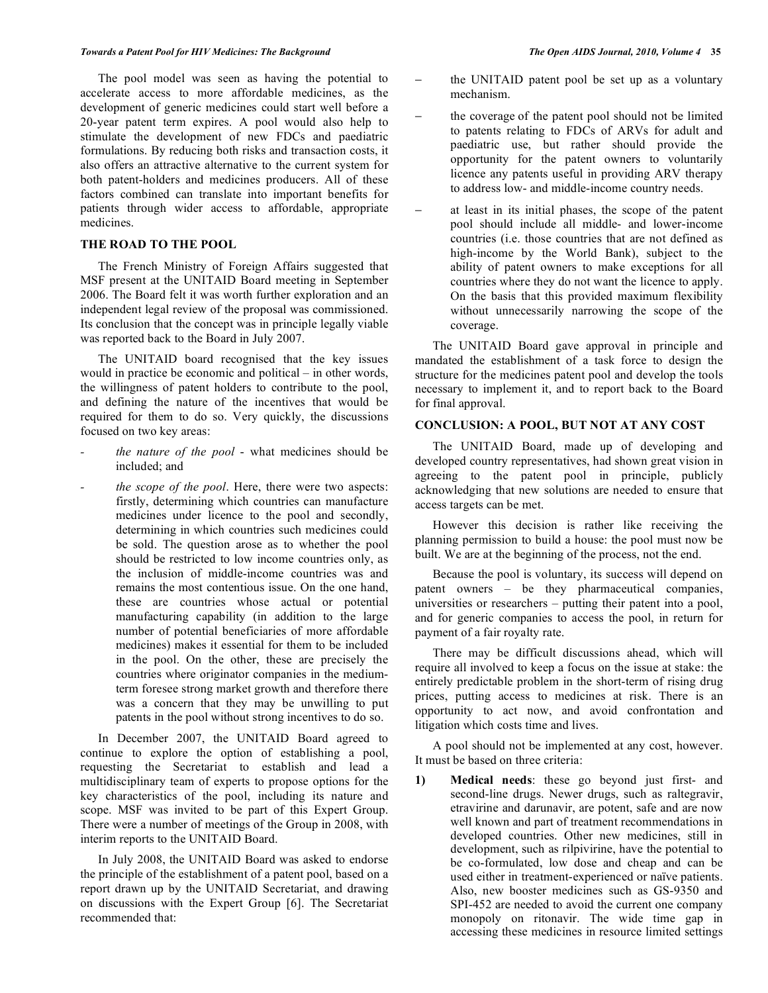The pool model was seen as having the potential to accelerate access to more affordable medicines, as the development of generic medicines could start well before a 20-year patent term expires. A pool would also help to stimulate the development of new FDCs and paediatric formulations. By reducing both risks and transaction costs, it also offers an attractive alternative to the current system for both patent-holders and medicines producers. All of these factors combined can translate into important benefits for patients through wider access to affordable, appropriate medicines.

## **THE ROAD TO THE POOL**

 The French Ministry of Foreign Affairs suggested that MSF present at the UNITAID Board meeting in September 2006. The Board felt it was worth further exploration and an independent legal review of the proposal was commissioned. Its conclusion that the concept was in principle legally viable was reported back to the Board in July 2007.

 The UNITAID board recognised that the key issues would in practice be economic and political – in other words, the willingness of patent holders to contribute to the pool, and defining the nature of the incentives that would be required for them to do so. Very quickly, the discussions focused on two key areas:

- *the nature of the pool* what medicines should be included; and
- *the scope of the pool.* Here, there were two aspects: firstly, determining which countries can manufacture medicines under licence to the pool and secondly, determining in which countries such medicines could be sold. The question arose as to whether the pool should be restricted to low income countries only, as the inclusion of middle-income countries was and remains the most contentious issue. On the one hand, these are countries whose actual or potential manufacturing capability (in addition to the large number of potential beneficiaries of more affordable medicines) makes it essential for them to be included in the pool. On the other, these are precisely the countries where originator companies in the mediumterm foresee strong market growth and therefore there was a concern that they may be unwilling to put patents in the pool without strong incentives to do so.

 In December 2007, the UNITAID Board agreed to continue to explore the option of establishing a pool, requesting the Secretariat to establish and lead a multidisciplinary team of experts to propose options for the key characteristics of the pool, including its nature and scope. MSF was invited to be part of this Expert Group. There were a number of meetings of the Group in 2008, with interim reports to the UNITAID Board.

 In July 2008, the UNITAID Board was asked to endorse the principle of the establishment of a patent pool, based on a report drawn up by the UNITAID Secretariat, and drawing on discussions with the Expert Group [6]. The Secretariat recommended that:

- the UNITAID patent pool be set up as a voluntary mechanism.
- the coverage of the patent pool should not be limited to patents relating to FDCs of ARVs for adult and paediatric use, but rather should provide the opportunity for the patent owners to voluntarily licence any patents useful in providing ARV therapy to address low- and middle-income country needs.
- at least in its initial phases, the scope of the patent pool should include all middle- and lower-income countries (i.e. those countries that are not defined as high-income by the World Bank), subject to the ability of patent owners to make exceptions for all countries where they do not want the licence to apply. On the basis that this provided maximum flexibility without unnecessarily narrowing the scope of the coverage.

 The UNITAID Board gave approval in principle and mandated the establishment of a task force to design the structure for the medicines patent pool and develop the tools necessary to implement it, and to report back to the Board for final approval.

## **CONCLUSION: A POOL, BUT NOT AT ANY COST**

 The UNITAID Board, made up of developing and developed country representatives, had shown great vision in agreeing to the patent pool in principle, publicly acknowledging that new solutions are needed to ensure that access targets can be met.

 However this decision is rather like receiving the planning permission to build a house: the pool must now be built. We are at the beginning of the process, not the end.

 Because the pool is voluntary, its success will depend on patent owners – be they pharmaceutical companies, universities or researchers – putting their patent into a pool, and for generic companies to access the pool, in return for payment of a fair royalty rate.

 There may be difficult discussions ahead, which will require all involved to keep a focus on the issue at stake: the entirely predictable problem in the short-term of rising drug prices, putting access to medicines at risk. There is an opportunity to act now, and avoid confrontation and litigation which costs time and lives.

 A pool should not be implemented at any cost, however. It must be based on three criteria:

**1) Medical needs**: these go beyond just first- and second-line drugs. Newer drugs, such as raltegravir, etravirine and darunavir, are potent, safe and are now well known and part of treatment recommendations in developed countries. Other new medicines, still in development, such as rilpivirine, have the potential to be co-formulated, low dose and cheap and can be used either in treatment-experienced or naïve patients. Also, new booster medicines such as GS-9350 and SPI-452 are needed to avoid the current one company monopoly on ritonavir. The wide time gap in accessing these medicines in resource limited settings